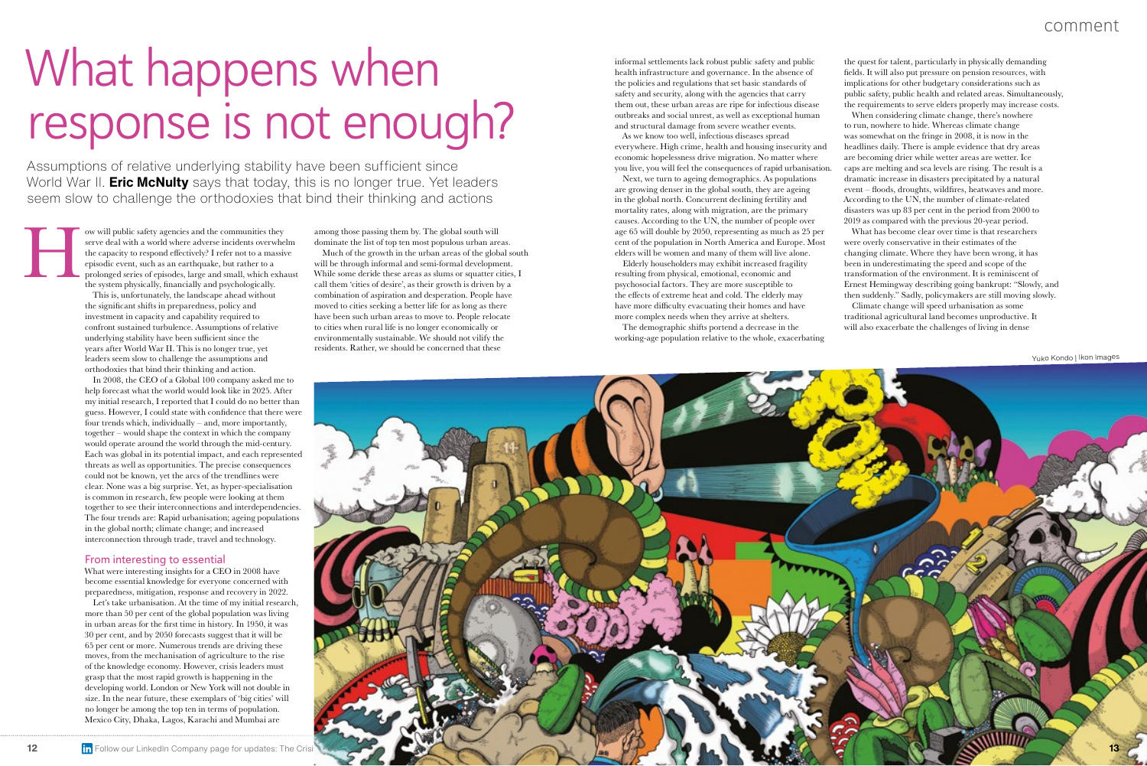This is, unfortunately, the landscape ahead without the significant shifts in preparedness, policy and investment in capacity and capability required to confront sustained turbulence. Assumptions of relative underlying stability have been sufficient since the years after World War II. This is no longer true, yet leaders seem slow to challenge the assumptions and orthodoxies that bind their thinking and action.

In 2008, the CEO of a Global 100 company asked me to help forecast what the world would look like in 2025. After my initial research, I reported that I could do no better than guess. However, I could state with confidence that there were four trends which, individually – and, more importantly, together – would shape the context in which the company would operate around the world through the mid-century. Each was global in its potential impact, and each represented threats as well as opportunities. The precise consequences could not be known, yet the arcs of the trendlines were clear. None was a big surprise. Yet, as hyper-specialisation is common in research, few people were looking at them together to see their interconnections and interdependencies. The four trends are: Rapid urbanisation; ageing populations in the global north; climate change; and increased interconnection through trade, travel and technology.

# What happens when response is not enough?

Assumptions of relative underlying stability have been sufficient since World War II. **Eric McNulty** says that today, this is no longer true. Yet leaders seem slow to challenge the orthodoxies that bind their thinking and actions

ow will public safety agencies and the communities they serve deal with a world where adverse incidents overwhelm the capacity to respond effectively? I refer not to a massive episodic event, such as an earthquake, but rather to a prolonged series of episodes, large and small, which exhaust the system physically, financially and psychologically. H

#### From interesting to essential

What were interesting insights for a CEO in 2008 have become essential knowledge for everyone concerned with preparedness, mitigation, response and recovery in 2022.

Let's take urbanisation. At the time of my initial research, more than 50 per cent of the global population was living in urban areas for the first time in history. In 1950, it was 30 per cent, and by 2050 forecasts suggest that it will be 65 per cent or more. Numerous trends are driving these moves, from the mechanisation of agriculture to the rise of the knowledge economy. However, crisis leaders must grasp that the most rapid growth is happening in the developing world. London or New York will not double in size. In the near future, these exemplars of 'big cities' will no longer be among the top ten in terms of population. Mexico City, Dhaka, Lagos, Karachi and Mumbai are

informal settlements lack robust public safety and public health infrastructure and governance. In the absence of the policies and regulations that set basic standards of safety and security, along with the agencies that carry them out, these urban areas are ripe for infectious disease outbreaks and social unrest, as well as exceptional human and structural damage from severe weather events.



As we know too well, infectious diseases spread everywhere. High crime, health and housing insecurity and economic hopelessness drive migration. No matter where you live, you will feel the consequences of rapid urbanisation.

Next, we turn to ageing demographics. As populations are growing denser in the global south, they are ageing in the global north. Concurrent declining fertility and mortality rates, along with migration, are the primary causes. According to the UN, the number of people over age 65 will double by 2050, representing as much as 25 per cent of the population in North America and Europe. Most elders will be women and many of them will live alone.

Elderly householders may exhibit increased fragility resulting from physical, emotional, economic and psychosocial factors. They are more susceptible to the effects of extreme heat and cold. The elderly may have more difficulty evacuating their homes and have more complex needs when they arrive at shelters.

The demographic shifts portend a decrease in the working-age population relative to the whole, exacerbating

among those passing them by. The global south will dominate the list of top ten most populous urban areas.

Much of the growth in the urban areas of the global south will be through informal and semi-formal development. While some deride these areas as slums or squatter cities, I call them 'cities of desire', as their growth is driven by a combination of aspiration and desperation. People have moved to cities seeking a better life for as long as there have been such urban areas to move to. People relocate to cities when rural life is no longer economically or environmentally sustainable. We should not vilify the residents. Rather, we should be concerned that these

the quest for talent, particularly in physically demanding fields. It will also put pressure on pension resources, with implications for other budgetary considerations such as public safety, public health and related areas. Simultaneously, the requirements to serve elders properly may increase costs. When considering climate change, there's nowhere to run, nowhere to hide. Whereas climate change was somewhat on the fringe in 2008, it is now in the headlines daily. There is ample evidence that dry areas are becoming drier while wetter areas are wetter. Ice caps are melting and sea levels are rising. The result is a dramatic increase in disasters precipitated by a natural event – floods, droughts, wildfires, heatwaves and more. According to the UN, the number of climate-related disasters was up 83 per cent in the period from 2000 to 2019 as compared with the previous 20-year period. What has become clear over time is that researchers were overly conservative in their estimates of the changing climate. Where they have been wrong, it has been in underestimating the speed and scope of the transformation of the environment. It is reminiscent of Ernest Hemingway describing going bankrupt: "Slowly, and then suddenly." Sadly, policymakers are still moving slowly. Climate change will speed urbanisation as some traditional agricultural land becomes unproductive. It will also exacerbate the challenges of living in dense

### comment

Yuko Kondo | Ikon Images